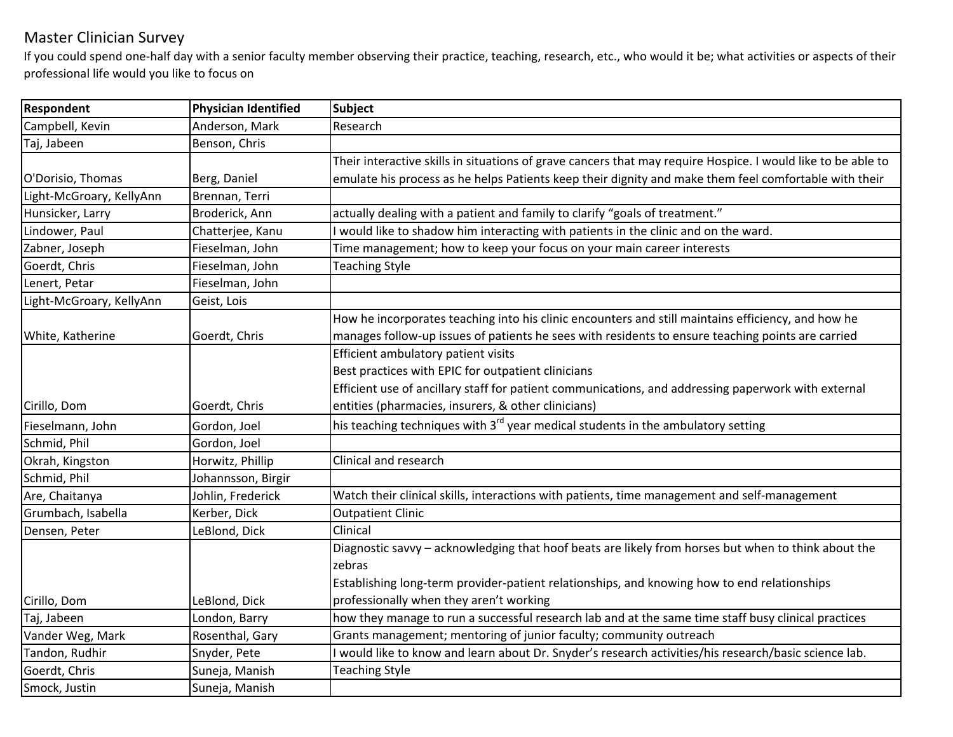## Master Clinician Survey

If you could spend one‐half day with <sup>a</sup> senior faculty member observing their practice, teaching, research, etc., who would it be; what activities or aspects of their professional life would you like to focus on

| Respondent               | <b>Physician Identified</b> | <b>Subject</b>                                                                                               |
|--------------------------|-----------------------------|--------------------------------------------------------------------------------------------------------------|
| Campbell, Kevin          | Anderson, Mark              | Research                                                                                                     |
| Taj, Jabeen              | Benson, Chris               |                                                                                                              |
|                          |                             | Their interactive skills in situations of grave cancers that may require Hospice. I would like to be able to |
| O'Dorisio, Thomas        | Berg, Daniel                | emulate his process as he helps Patients keep their dignity and make them feel comfortable with their        |
| Light-McGroary, KellyAnn | Brennan, Terri              |                                                                                                              |
| Hunsicker, Larry         | Broderick, Ann              | actually dealing with a patient and family to clarify "goals of treatment."                                  |
| Lindower, Paul           | Chatterjee, Kanu            | would like to shadow him interacting with patients in the clinic and on the ward.                            |
| Zabner, Joseph           | Fieselman, John             | Time management; how to keep your focus on your main career interests                                        |
| Goerdt, Chris            | Fieselman, John             | <b>Teaching Style</b>                                                                                        |
| Lenert, Petar            | Fieselman, John             |                                                                                                              |
| Light-McGroary, KellyAnn | Geist, Lois                 |                                                                                                              |
|                          |                             | How he incorporates teaching into his clinic encounters and still maintains efficiency, and how he           |
| White, Katherine         | Goerdt, Chris               | manages follow-up issues of patients he sees with residents to ensure teaching points are carried            |
|                          |                             | Efficient ambulatory patient visits                                                                          |
|                          |                             | Best practices with EPIC for outpatient clinicians                                                           |
|                          |                             | Efficient use of ancillary staff for patient communications, and addressing paperwork with external          |
| Cirillo, Dom             | Goerdt, Chris               | entities (pharmacies, insurers, & other clinicians)                                                          |
| Fieselmann, John         | Gordon, Joel                | his teaching techniques with 3 <sup>rd</sup> year medical students in the ambulatory setting                 |
| Schmid, Phil             | Gordon, Joel                |                                                                                                              |
| Okrah, Kingston          | Horwitz, Phillip            | Clinical and research                                                                                        |
| Schmid, Phil             | Johannsson, Birgir          |                                                                                                              |
| Are, Chaitanya           | Johlin, Frederick           | Watch their clinical skills, interactions with patients, time management and self-management                 |
| Grumbach, Isabella       | Kerber, Dick                | <b>Outpatient Clinic</b>                                                                                     |
| Densen, Peter            | LeBlond, Dick               | Clinical                                                                                                     |
|                          |                             | Diagnostic savvy - acknowledging that hoof beats are likely from horses but when to think about the          |
|                          |                             | zebras                                                                                                       |
|                          |                             | Establishing long-term provider-patient relationships, and knowing how to end relationships                  |
| Cirillo, Dom             | LeBlond, Dick               | professionally when they aren't working                                                                      |
| Taj, Jabeen              | London, Barry               | how they manage to run a successful research lab and at the same time staff busy clinical practices          |
| Vander Weg, Mark         | Rosenthal, Gary             | Grants management; mentoring of junior faculty; community outreach                                           |
| Tandon, Rudhir           | Snyder, Pete                | would like to know and learn about Dr. Snyder's research activities/his research/basic science lab.          |
| Goerdt, Chris            | Suneja, Manish              | <b>Teaching Style</b>                                                                                        |
| Smock, Justin            | Suneja, Manish              |                                                                                                              |